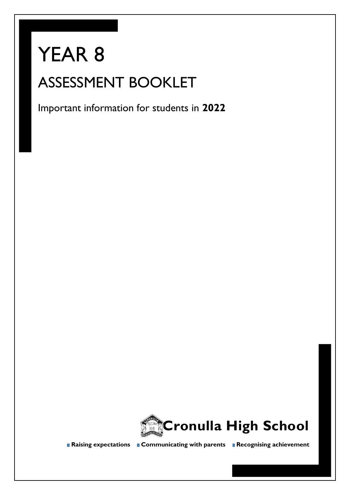# YEAR 8 ASSESSMENT BOOKLET

Important information for students in **2022**



**Raising expectations Communicating with parents Recognising achievement**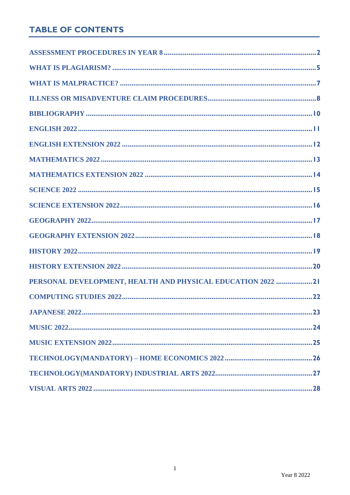# **TABLE OF CONTENTS**

| PERSONAL DEVELOPMENT, HEALTH AND PHYSICAL EDUCATION 2022 21 |
|-------------------------------------------------------------|
|                                                             |
|                                                             |
|                                                             |
|                                                             |
|                                                             |
|                                                             |
|                                                             |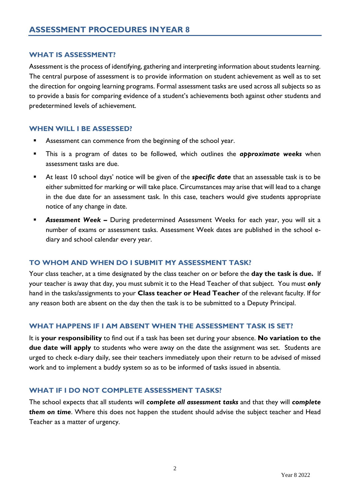## <span id="page-2-0"></span>**WHAT IS ASSESSMENT?**

Assessment is the process of identifying, gathering and interpreting information about students learning. The central purpose of assessment is to provide information on student achievement as well as to set the direction for ongoing learning programs. Formal assessment tasks are used across all subjects so as to provide a basis for comparing evidence of a student's achievements both against other students and predetermined levels of achievement.

## **WHEN WILL I BE ASSESSED?**

- Assessment can commence from the beginning of the school year.
- This is a program of dates to be followed, which outlines the *approximate weeks* when assessment tasks are due.
- At least 10 school days' notice will be given of the **specific date** that an assessable task is to be either submitted for marking or will take place. Circumstances may arise that will lead to a change in the due date for an assessment task. In this case, teachers would give students appropriate notice of any change in date.
- **EXECTS Assessment Week -** During predetermined Assessment Weeks for each year, you will sit a number of exams or assessment tasks. Assessment Week dates are published in the school ediary and school calendar every year.

## **TO WHOM AND WHEN DO I SUBMIT MY ASSESSMENT TASK?**

Your class teacher, at a time designated by the class teacher on or before the **day the task is due.** If your teacher is away that day, you must submit it to the Head Teacher of that subject. You must *only* hand in the tasks/assignments to your **Class teacher or Head Teacher** of the relevant faculty. If for any reason both are absent on the day then the task is to be submitted to a Deputy Principal.

# **WHAT HAPPENS IF I AM ABSENT WHEN THE ASSESSMENT TASK IS SET?**

It is **your responsibility** to find out if a task has been set during your absence. **No variation to the due date will apply** to students who were away on the date the assignment was set. Students are urged to check e-diary daily, see their teachers immediately upon their return to be advised of missed work and to implement a buddy system so as to be informed of tasks issued in absentia.

## **WHAT IF I DO NOT COMPLETE ASSESSMENT TASKS?**

The school expects that all students will *complete all assessment tasks* and that they will *complete them on time*. Where this does not happen the student should advise the subject teacher and Head Teacher as a matter of urgency.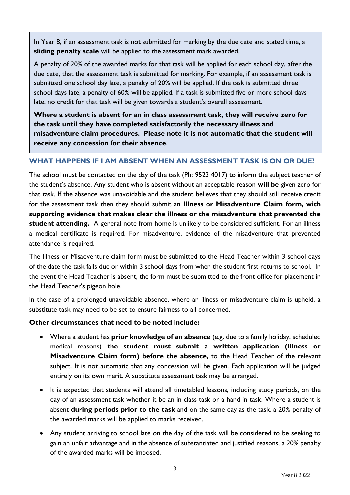In Year 8, if an assessment task is not submitted for marking by the due date and stated time, a **sliding penalty scale** will be applied to the assessment mark awarded.

A penalty of 20% of the awarded marks for that task will be applied for each school day, after the due date, that the assessment task is submitted for marking. For example, if an assessment task is submitted one school day late, a penalty of 20% will be applied. If the task is submitted three school days late, a penalty of 60% will be applied. If a task is submitted five or more school days late, no credit for that task will be given towards a student's overall assessment.

**Where a student is absent for an in class assessment task, they will receive zero for the task until they have completed satisfactorily the necessary illness and misadventure claim procedures. Please note it is not automatic that the student will receive any concession for their absence.**

# **WHAT HAPPENS IF I AM ABSENT WHEN AN ASSESSMENT TASK IS ON OR DUE?**

The school must be contacted on the day of the task (Ph: 9523 4017) to inform the subject teacher of the student's absence. Any student who is absent without an acceptable reason **will be** given zero for that task. If the absence was unavoidable and the student believes that they should still receive credit for the assessment task then they should submit an **Illness or Misadventure Claim form, with supporting evidence that makes clear the illness or the misadventure that prevented the student attending.** A general note from home is unlikely to be considered sufficient. For an illness a medical certificate is required. For misadventure, evidence of the misadventure that prevented attendance is required.

The Illness or Misadventure claim form must be submitted to the Head Teacher within 3 school days of the date the task falls due or within 3 school days from when the student first returns to school. In the event the Head Teacher is absent, the form must be submitted to the front office for placement in the Head Teacher's pigeon hole.

In the case of a prolonged unavoidable absence, where an illness or misadventure claim is upheld, a substitute task may need to be set to ensure fairness to all concerned.

## **Other circumstances that need to be noted include:**

- Where a student has **prior knowledge of an absence** (e.g. due to a family holiday, scheduled medical reasons) **the student must submit a written application (Illness or Misadventure Claim form) before the absence,** to the Head Teacher of the relevant subject. It is not automatic that any concession will be given. Each application will be judged entirely on its own merit. A substitute assessment task may be arranged.
- It is expected that students will attend all timetabled lessons, including study periods, on the day of an assessment task whether it be an in class task or a hand in task. Where a student is absent **during periods prior to the task** and on the same day as the task, a 20% penalty of the awarded marks will be applied to marks received.
- Any student arriving to school late on the day of the task will be considered to be seeking to gain an unfair advantage and in the absence of substantiated and justified reasons, a 20% penalty of the awarded marks will be imposed.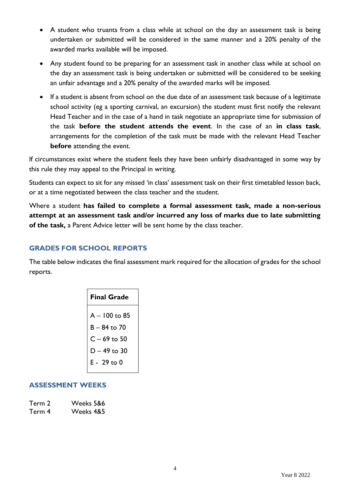- A student who truants from a class while at school on the day an assessment task is being undertaken or submitted will be considered in the same manner and a 20% penalty of the awarded marks available will be imposed.
- Any student found to be preparing for an assessment task in another class while at school on the day an assessment task is being undertaken or submitted will be considered to be seeking an unfair advantage and a 20% penalty of the awarded marks will be imposed.
- If a student is absent from school on the due date of an assessment task because of a legitimate school activity (eg a sporting carnival, an excursion) the student must first notify the relevant Head Teacher and in the case of a hand in task negotiate an appropriate time for submission of the task **before the student attends the event**. In the case of an **in class task**, arrangements for the completion of the task must be made with the relevant Head Teacher **before** attending the event.

If circumstances exist where the student feels they have been unfairly disadvantaged in some way by this rule they may appeal to the Principal in writing.

Students can expect to sit for any missed 'in class' assessment task on their first timetabled lesson back, or at a time negotiated between the class teacher and the student.

Where a student **has failed to complete a formal assessment task, made a non-serious attempt at an assessment task and/or incurred any loss of marks due to late submitting of the task,** a Parent Advice letter will be sent home by the class teacher.

# **GRADES FOR SCHOOL REPORTS**

The table below indicates the final assessment mark required for the allocation of grades for the school reports.

| <b>Final Grade</b> |
|--------------------|
| A - 100 to 85      |
| $B - 84$ to 70     |
| $C - 69$ to 50     |
| $D - 49$ to 30     |
| E - 29 to 0        |
|                    |

## **ASSESSMENT WEEKS**

| Term 2 | Weeks 5&6 |
|--------|-----------|
| Term 4 | Weeks 485 |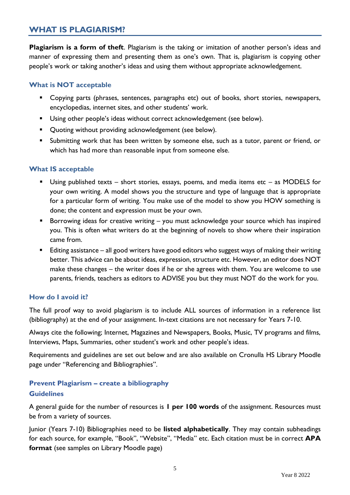# <span id="page-5-0"></span>**WHAT IS PLAGIARISM?**

**Plagiarism is a form of theft**. Plagiarism is the taking or imitation of another person's ideas and manner of expressing them and presenting them as one's own. That is, plagiarism is copying other people's work or taking another's ideas and using them without appropriate acknowledgement.

## **What is NOT acceptable**

- Copying parts (phrases, sentences, paragraphs etc) out of books, short stories, newspapers, encyclopedias, internet sites, and other students' work.
- Using other people's ideas without correct acknowledgement (see below).
- Quoting without providing acknowledgement (see below).
- **E** Submitting work that has been written by someone else, such as a tutor, parent or friend, or which has had more than reasonable input from someone else.

## **What IS acceptable**

- Using published texts short stories, essays, poems, and media items etc as MODELS for your own writing. A model shows you the structure and type of language that is appropriate for a particular form of writing. You make use of the model to show you HOW something is done; the content and expression must be your own.
- Borrowing ideas for creative writing you must acknowledge your source which has inspired you. This is often what writers do at the beginning of novels to show where their inspiration came from.
- Editing assistance all good writers have good editors who suggest ways of making their writing better. This advice can be about ideas, expression, structure etc. However, an editor does NOT make these changes – the writer does if he or she agrees with them. You are welcome to use parents, friends, teachers as editors to ADVISE you but they must NOT do the work for you.

## **How do I avoid it?**

The full proof way to avoid plagiarism is to include ALL sources of information in a reference list (bibliography) at the end of your assignment. In-text citations are not necessary for Years 7-10.

Always cite the following; Internet, Magazines and Newspapers, Books, Music, TV programs and films, Interviews, Maps, Summaries, other student's work and other people's ideas.

Requirements and guidelines are set out below and are also available on Cronulla HS Library Moodle page under "Referencing and Bibliographies".

## **Prevent Plagiarism – create a bibliography Guidelines**

A general guide for the number of resources is **1 per 100 words** of the assignment. Resources must be from a variety of sources.

Junior (Years 7-10) Bibliographies need to be **listed alphabetically**. They may contain subheadings for each source, for example, "Book", "Website", "Media" etc. Each citation must be in correct **APA format** (see samples on Library Moodle page)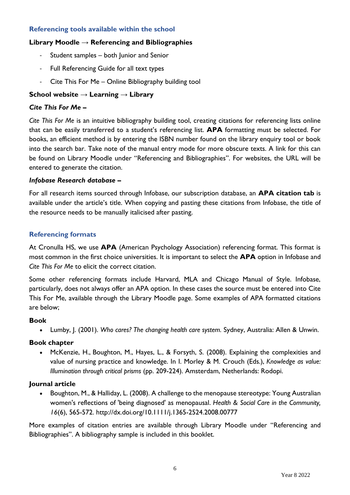## **Referencing tools available within the school**

## **Library Moodle → Referencing and Bibliographies**

- Student samples both Junior and Senior
- Full Referencing Guide for all text types
- Cite This For Me Online Bibliography building tool

## **School website → Learning → Library**

#### *Cite This For Me* **–**

*Cite This For Me* is an intuitive bibliography building tool, creating citations for referencing lists online that can be easily transferred to a student's referencing list. **APA** formatting must be selected. For books, an efficient method is by entering the ISBN number found on the library enquiry tool or book into the search bar. Take note of the manual entry mode for more obscure texts. A link for this can be found on Library Moodle under "Referencing and Bibliographies". For websites, the URL will be entered to generate the citation.

#### *Infobase Research database* **–**

For all research items sourced through Infobase, our subscription database, an **APA citation tab** is available under the article's title. When copying and pasting these citations from Infobase, the title of the resource needs to be manually italicised after pasting.

#### **Referencing formats**

At Cronulla HS, we use **APA** (American Psychology Association) referencing format. This format is most common in the first choice universities. It is important to select the **APA** option in Infobase and *Cite This For Me* to elicit the correct citation.

Some other referencing formats include Harvard, MLA and Chicago Manual of Style. Infobase, particularly, does not always offer an APA option. In these cases the source must be entered into Cite This For Me, available through the Library Moodle page. Some examples of APA formatted citations are below;

#### **Book**

• Lumby, J. (2001). *Who cares? The changing health care system.* Sydney, Australia: Allen & Unwin.

#### **Book chapter**

• McKenzie, H., Boughton, M., Hayes, L., & Forsyth, S. (2008). Explaining the complexities and value of nursing practice and knowledge. In I. Morley & M. Crouch (Eds.), *Knowledge as value: Illumination through critical prisms* (pp. 209-224). Amsterdam, Netherlands: Rodopi.

#### **Journal article**

• Boughton, M., & Halliday, L. (2008). A challenge to the menopause stereotype: Young Australian women's reflections of 'being diagnosed' as menopausal. *Health & Social Care in the Community, 16*(6), 565-572. http://dx.doi.org/10.1111/j.1365-2524.2008.00777

More examples of citation entries are available through Library Moodle under "Referencing and Bibliographies". A bibliography sample is included in this booklet.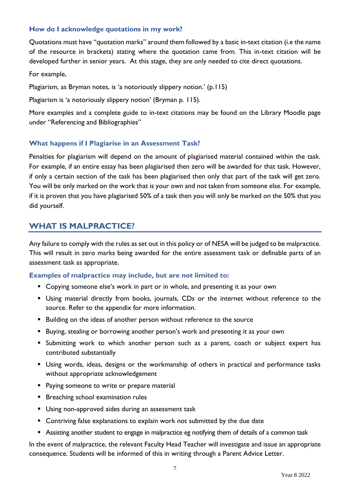## **How do I acknowledge quotations in my work?**

Quotations must have "quotation marks" around them followed by a basic in-text citation (i.e the name of the resource in brackets) stating where the quotation came from. This in-text citation will be developed further in senior years. At this stage, they are only needed to cite direct quotations.

For example,

Plagiarism, as Bryman notes, is 'a notoriously slippery notion.' (p.115)

Plagiarism is 'a notoriously slippery notion' (Bryman p. 115).

More examples and a complete guide to in-text citations may be found on the Library Moodle page under "Referencing and Bibliographies"

## **What happens if I Plagiarise in an Assessment Task?**

Penalties for plagiarism will depend on the amount of plagiarised material contained within the task. For example, if an entire essay has been plagiarised then zero will be awarded for that task. However, if only a certain section of the task has been plagiarised then only that part of the task will get zero. You will be only marked on the work that is your own and not taken from someone else. For example, if it is proven that you have plagiarised 50% of a task then you will only be marked on the 50% that you did yourself.

# <span id="page-7-0"></span>**WHAT IS MALPRACTICE?**

Any failure to comply with the rules as set out in this policy or of NESA will be judged to be malpractice. This will result in zero marks being awarded for the entire assessment task or definable parts of an assessment task as appropriate.

#### **Examples of malpractice may include, but are not limited to:**

- Copying someone else's work in part or in whole, and presenting it as your own
- Using material directly from books, journals, CDs or the internet without reference to the source. Refer to the appendix for more information.
- Building on the ideas of another person without reference to the source
- Buying, stealing or borrowing another person's work and presenting it as your own
- **E** Submitting work to which another person such as a parent, coach or subject expert has contributed substantially
- **E** Using words, ideas, designs or the workmanship of others in practical and performance tasks without appropriate acknowledgement
- **Paying someone to write or prepare material**
- **E** Breaching school examination rules
- **■** Using non-approved aides during an assessment task
- Contriving false explanations to explain work not submitted by the due date
- Assisting another student to engage in malpractice eg notifying them of details of a common task

In the event of malpractice, the relevant Faculty Head Teacher will investigate and issue an appropriate consequence. Students will be informed of this in writing through a Parent Advice Letter.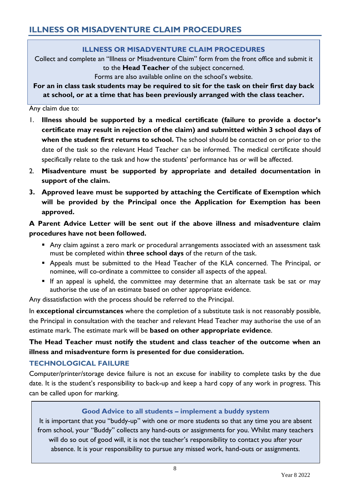# **ILLNESS OR MISADVENTURE CLAIM PROCEDURES**

<span id="page-8-0"></span>Collect and complete an "Illness or Misadventure Claim" form from the front office and submit it to the **Head Teacher** of the subject concerned.

Forms are also available online on the school's website.

**For an in class task students may be required to sit for the task on their first day back at school, or at a time that has been previously arranged with the class teacher.**

Any claim due to:

- 1. **Illness should be supported by a medical certificate (failure to provide a doctor's certificate may result in rejection of the claim) and submitted within 3 school days of when the student first returns to school.** The school should be contacted on or prior to the date of the task so the relevant Head Teacher can be informed. The medical certificate should specifically relate to the task and how the students' performance has or will be affected.
- 2. **Misadventure must be supported by appropriate and detailed documentation in support of the claim.**
- **3. Approved leave must be supported by attaching the Certificate of Exemption which will be provided by the Principal once the Application for Exemption has been approved.**

# **A Parent Advice Letter will be sent out if the above illness and misadventure claim procedures have not been followed.**

- Any claim against a zero mark or procedural arrangements associated with an assessment task must be completed within **three school days** of the return of the task.
- **E** Appeals must be submitted to the Head Teacher of the KLA concerned. The Principal, or nominee, will co-ordinate a committee to consider all aspects of the appeal.
- If an appeal is upheld, the committee may determine that an alternate task be sat or may authorise the use of an estimate based on other appropriate evidence.

Any dissatisfaction with the process should be referred to the Principal.

In **exceptional circumstances** where the completion of a substitute task is not reasonably possible, the Principal in consultation with the teacher and relevant Head Teacher may authorise the use of an estimate mark. The estimate mark will be **based on other appropriate evidence**.

# **The Head Teacher must notify the student and class teacher of the outcome when an illness and misadventure form is presented for due consideration.**

# **TECHNOLOGICAL FAILURE**

Computer/printer/storage device failure is not an excuse for inability to complete tasks by the due date. It is the student's responsibility to back-up and keep a hard copy of any work in progress. This can be called upon for marking.

# **Good Advice to all students – implement a buddy system**

It is important that you "buddy-up" with one or more students so that any time you are absent from school, your "Buddy" collects any hand-outs or assignments for you. Whilst many teachers will do so out of good will, it is not the teacher's responsibility to contact you after your absence. It is your responsibility to pursue any missed work, hand-outs or assignments.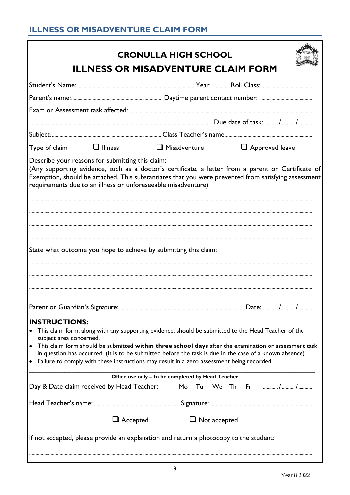# **ILLNESS OR MISADVENTURE CLAIM FORM**

|                                                                                                                               | <b>CRONULLA HIGH SCHOOL</b>                                                                             |                                                                                                                                                                                                            |
|-------------------------------------------------------------------------------------------------------------------------------|---------------------------------------------------------------------------------------------------------|------------------------------------------------------------------------------------------------------------------------------------------------------------------------------------------------------------|
|                                                                                                                               | <b>ILLNESS OR MISADVENTURE CLAIM FORM</b>                                                               |                                                                                                                                                                                                            |
|                                                                                                                               |                                                                                                         |                                                                                                                                                                                                            |
|                                                                                                                               |                                                                                                         |                                                                                                                                                                                                            |
|                                                                                                                               |                                                                                                         |                                                                                                                                                                                                            |
|                                                                                                                               |                                                                                                         |                                                                                                                                                                                                            |
|                                                                                                                               |                                                                                                         |                                                                                                                                                                                                            |
| Type of claim $\Box$ Illness $\Box$ Misadventure $\Box$ Approved leave                                                        |                                                                                                         |                                                                                                                                                                                                            |
| Describe your reasons for submitting this claim:<br>requirements due to an illness or unforeseeable misadventure)             |                                                                                                         | (Any supporting evidence, such as a doctor's certificate, a letter from a parent or Certificate of<br>Exemption, should be attached. This substantiates that you were prevented from satisfying assessment |
| State what outcome you hope to achieve by submitting this claim:                                                              |                                                                                                         |                                                                                                                                                                                                            |
|                                                                                                                               |                                                                                                         |                                                                                                                                                                                                            |
| <b>INSTRUCTIONS:</b><br>• This claim form, along with any supporting evidence, should be submitted to the Head Teacher of the |                                                                                                         |                                                                                                                                                                                                            |
| subject area concerned.<br>• Failure to comply with these instructions may result in a zero assessment being recorded.        | in question has occurred. (It is to be submitted before the task is due in the case of a known absence) | • This claim form should be submitted within three school days after the examination or assessment task                                                                                                    |
|                                                                                                                               | Office use only - to be completed by Head Teacher                                                       |                                                                                                                                                                                                            |
| Day & Date claim received by Head Teacher:                                                                                    |                                                                                                         | Mo Tu We Th Fr //                                                                                                                                                                                          |
|                                                                                                                               |                                                                                                         |                                                                                                                                                                                                            |
|                                                                                                                               | $\Box$ Accepted<br>$\Box$ Not accepted                                                                  |                                                                                                                                                                                                            |
|                                                                                                                               |                                                                                                         |                                                                                                                                                                                                            |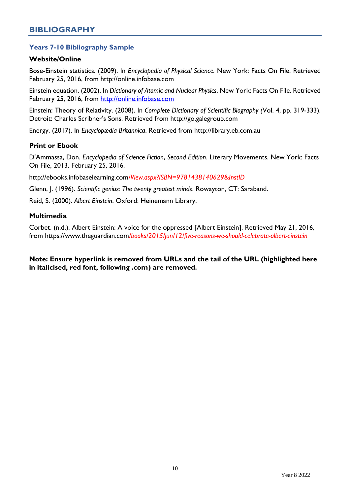# <span id="page-10-0"></span>**Years 7-10 Bibliography Sample**

## **Website/Online**

Bose-Einstein statistics. (2009). In *Encyclopedia of Physical Science.* New York: Facts On File. Retrieved February 25, 2016, from http://online.infobase.com

Einstein equation. (2002). In *Dictionary of Atomic and Nuclear Physics*. New York: Facts On File. Retrieved February 25, 2016, from [http://online.infobase.com](http://online.infobase.com/HRC/Search/Details/294533?q=einstein)

Einstein: Theory of Relativity. (2008). In *Complete Dictionary of Scientific Biography (*Vol. 4, pp. 319-333). Detroit: Charles Scribner's Sons. Retrieved from http://go.galegroup.com

Energy. (2017). In *Encyclopædia Britannica*. Retrieved from [http://library.eb.com.au](http://library.eb.com.au/levels/teens/article/energy/274180#200190.toc)

## **Print or Ebook**

D'Ammassa, Don. *Encyclopedia of Science Fiction*, *Second Edition*. Literary Movements. New York: Facts On File, 2013. February 25, 2016.

http://ebooks.infobaselearning.com*/View.aspx?ISBN=9781438140629&InstID*

Glenn, J. (1996). *Scientific genius: The twenty greatest minds*. Rowayton, CT: Saraband.

Reid, S. (2000). *Albert Einstein*. Oxford: Heinemann Library.

#### **Multimedia**

Corbet. (n.d.). Albert Einstein: A voice for the oppressed [Albert Einstein]. Retrieved May 21, 2016, from https://www.theguardian.com*/books/2015/jun/12/five-reasons-we-should-celebrate-albert-einstein*

**Note: Ensure hyperlink is removed from URLs and the tail of the URL (highlighted here in italicised, red font, following .com) are removed.**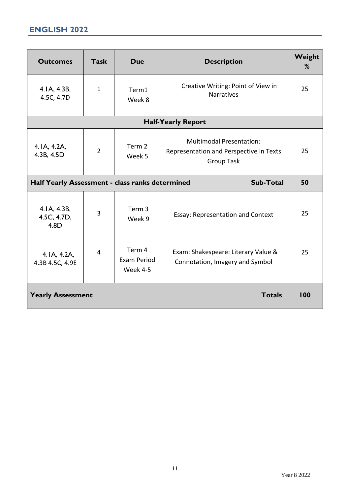<span id="page-11-0"></span>

| <b>Outcomes</b>                                 | <b>Task</b>                                                                                                                           | <b>Due</b>                        | <b>Description</b>                                                     | Weight<br>% |
|-------------------------------------------------|---------------------------------------------------------------------------------------------------------------------------------------|-----------------------------------|------------------------------------------------------------------------|-------------|
| 4. IA, 4.3B,<br>4.5C, 4.7D                      | $\mathbf{1}$                                                                                                                          | Term1<br>Week 8                   | Creative Writing: Point of View in<br>Narratives                       | 25          |
|                                                 |                                                                                                                                       |                                   | <b>Half-Yearly Report</b>                                              |             |
| 4.1A, 4.2A,<br>4.3B, 4.5D                       | <b>Multimodal Presentation:</b><br>Term 2<br>$\overline{2}$<br>Representation and Perspective in Texts<br>Week 5<br><b>Group Task</b> |                                   | 25                                                                     |             |
| Half Yearly Assessment - class ranks determined |                                                                                                                                       |                                   | <b>Sub-Total</b>                                                       | 50          |
| 4.1A, 4.3B,<br>4.5C, 4.7D,<br>4.8D              | 3                                                                                                                                     | Term <sub>3</sub><br>Week 9       | Essay: Representation and Context                                      | 25          |
| 4.1A, 4.2A,<br>4.3B 4.5C, 4.9E                  | 4                                                                                                                                     | Term 4<br>Exam Period<br>Week 4-5 | Exam: Shakespeare: Literary Value &<br>Connotation, Imagery and Symbol | 25          |
| <b>Yearly Assessment</b>                        |                                                                                                                                       |                                   | <b>Totals</b>                                                          | 100         |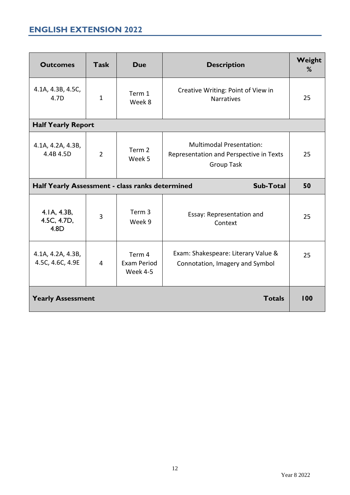# <span id="page-12-0"></span>**ENGLISH EXTENSION 2022**

| <b>Outcomes</b>                                 | <b>Task</b>    | <b>Due</b>                        | <b>Description</b>                                                                              | Weight<br>% |
|-------------------------------------------------|----------------|-----------------------------------|-------------------------------------------------------------------------------------------------|-------------|
| 4.1A, 4.3B, 4.5C,<br>4.7D                       | 1              | Term 1<br>Week 8                  | Creative Writing: Point of View in<br>Narratives                                                | 25          |
| <b>Half Yearly Report</b>                       |                |                                   |                                                                                                 |             |
| 4.1A, 4.2A, 4.3B,<br>4.4B 4.5D                  | $\overline{2}$ | Term 2<br>Week 5                  | <b>Multimodal Presentation:</b><br>Representation and Perspective in Texts<br><b>Group Task</b> | 25          |
| Half Yearly Assessment - class ranks determined |                |                                   | <b>Sub-Total</b>                                                                                | 50          |
| 4. IA, 4.3B,<br>4.5C, 4.7D,<br>4.8D             | 3              | Term 3<br>Week 9                  | Essay: Representation and<br>Context                                                            | 25          |
| 4.1A, 4.2A, 4.3B,<br>4.5C, 4.6C, 4.9E           | $\overline{4}$ | Term 4<br>Exam Period<br>Week 4-5 | Exam: Shakespeare: Literary Value &<br>Connotation, Imagery and Symbol                          | 25          |
| <b>Yearly Assessment</b>                        |                |                                   | <b>Totals</b>                                                                                   | 100         |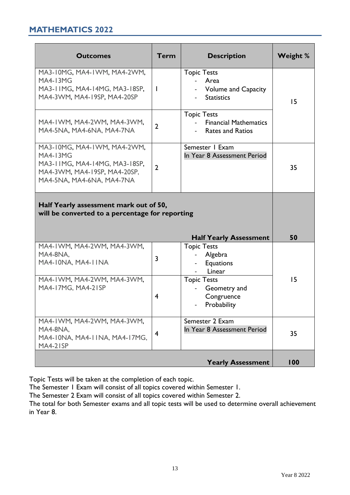# <span id="page-13-0"></span>**MATHEMATICS 2022**

| <b>Outcomes</b>                                                                                                                              | <b>Term</b>    | <b>Description</b>                                                            | <b>Weight %</b> |
|----------------------------------------------------------------------------------------------------------------------------------------------|----------------|-------------------------------------------------------------------------------|-----------------|
| MA3-10MG, MA4-1WM, MA4-2WM,<br><b>MA4-13MG</b><br>MA3-11MG, MA4-14MG, MA3-18SP,<br>MA4-3WM, MA4-19SP, MA4-20SP                               | -1             | <b>Topic Tests</b><br>Area<br><b>Volume and Capacity</b><br><b>Statistics</b> | 15              |
| MA4-IWM, MA4-2WM, MA4-3WM,<br>MA4-5NA, MA4-6NA, MA4-7NA                                                                                      | $\overline{2}$ | <b>Topic Tests</b><br><b>Financial Mathematics</b><br><b>Rates and Ratios</b> |                 |
| MA3-10MG, MA4-1WM, MA4-2WM,<br><b>MA4-13MG</b><br>MA3-11MG, MA4-14MG, MA3-18SP,<br>MA4-3WM, MA4-19SP, MA4-20SP,<br>MA4-5NA, MA4-6NA, MA4-7NA | $\overline{2}$ | Semester   Exam<br>In Year 8 Assessment Period                                | 35              |
| Half Yearly assessment mark out of 50,<br>will be converted to a percentage for reporting                                                    |                |                                                                               |                 |
|                                                                                                                                              |                | <b>Half Yearly Assessment</b>                                                 | 50              |
| MA4-IWM, MA4-2WM, MA4-3WM,<br>MA4-8NA,<br>MA4-10NA, MA4-11NA                                                                                 | $\overline{3}$ | <b>Topic Tests</b><br>Algebra<br><b>Equations</b><br>Linear                   |                 |
| MA4-IWM, MA4-2WM, MA4-3WM,<br>MA4-17MG, MA4-21SP                                                                                             | $\overline{4}$ | <b>Topic Tests</b><br>Geometry and<br>Congruence<br>- Probability             | 15              |
| MA4-IWM, MA4-2WM, MA4-3WM,<br>MA4-8NA.<br>MA4-10NA, MA4-11NA, MA4-17MG,<br>MA4-21SP                                                          | $\overline{4}$ | Semester 2 Exam<br>In Year 8 Assessment Period                                | 35              |
|                                                                                                                                              |                | <b>Yearly Assessment</b>                                                      | 100             |

Topic Tests will be taken at the completion of each topic.

The Semester 1 Exam will consist of all topics covered within Semester 1.

The Semester 2 Exam will consist of all topics covered within Semester 2.

The total for both Semester exams and all topic tests will be used to determine overall achievement in Year 8.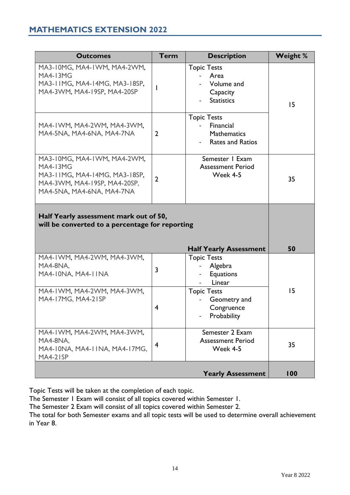# <span id="page-14-0"></span>**MATHEMATICS EXTENSION 2022**

| <b>Outcomes</b>                                                                                                                              | <b>Term</b>    | <b>Description</b>                                                               | <b>Weight %</b> |
|----------------------------------------------------------------------------------------------------------------------------------------------|----------------|----------------------------------------------------------------------------------|-----------------|
| MA3-10MG, MA4-1WM, MA4-2WM,<br><b>MA4-13MG</b><br>MA3-11MG, MA4-14MG, MA3-18SP,<br>MA4-3WM, MA4-19SP, MA4-20SP                               |                | <b>Topic Tests</b><br>Area<br>Volume and<br>Capacity<br><b>Statistics</b>        | 15              |
| MA4-IWM, MA4-2WM, MA4-3WM,<br>MA4-5NA, MA4-6NA, MA4-7NA                                                                                      | $\overline{2}$ | <b>Topic Tests</b><br>Financial<br><b>Mathematics</b><br><b>Rates and Ratios</b> |                 |
| MA3-10MG, MA4-1WM, MA4-2WM,<br><b>MA4-13MG</b><br>MA3-11MG, MA4-14MG, MA3-18SP,<br>MA4-3WM, MA4-19SP, MA4-20SP,<br>MA4-5NA, MA4-6NA, MA4-7NA | $\overline{2}$ | Semester   Exam<br><b>Assessment Period</b><br>Week 4-5                          | 35              |
| Half Yearly assessment mark out of 50,<br>will be converted to a percentage for reporting                                                    |                |                                                                                  |                 |
|                                                                                                                                              |                | <b>Half Yearly Assessment</b>                                                    | 50              |
| MA4-IWM, MA4-2WM, MA4-3WM,<br>MA4-8NA,<br>MA4-10NA, MA4-11NA                                                                                 | $\overline{3}$ | <b>Topic Tests</b><br>Algebra<br>Equations<br>Linear                             |                 |
| MA4-IWM, MA4-2WM, MA4-3WM,<br>MA4-17MG, MA4-21SP                                                                                             | 4              | <b>Topic Tests</b><br>Geometry and<br>Congruence<br>Probability                  | 15              |
| MA4-IWM, MA4-2WM, MA4-3WM,<br>MA4-8NA,<br>MA4-10NA, MA4-11NA, MA4-17MG,<br>MA4-21SP                                                          | 4              | Semester 2 Exam<br><b>Assessment Period</b><br>Week 4-5                          | 35              |
|                                                                                                                                              |                | <b>Yearly Assessment</b>                                                         | 100             |

Topic Tests will be taken at the completion of each topic.

The Semester 1 Exam will consist of all topics covered within Semester 1.

The Semester 2 Exam will consist of all topics covered within Semester 2.

The total for both Semester exams and all topic tests will be used to determine overall achievement in Year 8.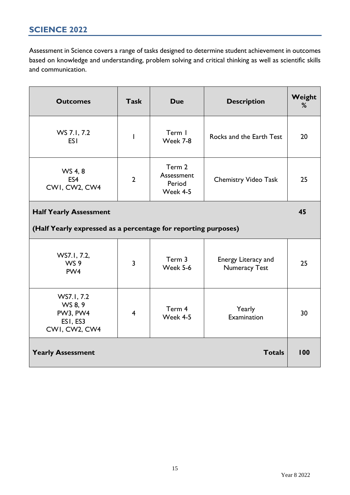<span id="page-15-0"></span>Assessment in Science covers a range of tasks designed to determine student achievement in outcomes based on knowledge and understanding, problem solving and critical thinking as well as scientific skills and communication.

| <b>Outcomes</b>                                                | <b>Task</b>    | <b>Due</b>                                 | <b>Description</b>                          | Weight<br>% |  |
|----------------------------------------------------------------|----------------|--------------------------------------------|---------------------------------------------|-------------|--|
| WS 7.1, 7.2<br><b>ESI</b>                                      | I              | Term I<br>Week 7-8                         | Rocks and the Earth Test                    | 20          |  |
| WS 4, 8<br>ES4<br>CWI, CW2, CW4                                | $\overline{2}$ | Term 2<br>Assessment<br>Period<br>Week 4-5 | <b>Chemistry Video Task</b>                 | 25          |  |
| <b>Half Yearly Assessment</b>                                  |                |                                            |                                             |             |  |
| (Half Yearly expressed as a percentage for reporting purposes) |                |                                            |                                             |             |  |
| WS7.1, 7.2,<br>WS 9<br>PW <sub>4</sub>                         | $\overline{3}$ | Term 3<br>Week 5-6                         | Energy Literacy and<br><b>Numeracy Test</b> | 25          |  |
| WS7.1, 7.2<br>WS 8, 9<br>PW3, PW4<br>ESI, ES3<br>CWI, CW2, CW4 | $\overline{4}$ | Term 4<br>Week 4-5                         | Yearly<br>Examination                       | 30          |  |
| <b>Yearly Assessment</b>                                       |                |                                            | <b>Totals</b>                               | 100         |  |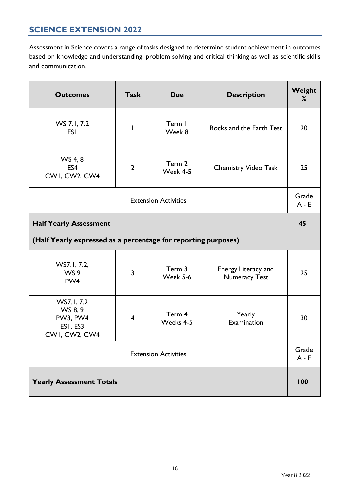# <span id="page-16-0"></span>**SCIENCE EXTENSION 2022**

Assessment in Science covers a range of tasks designed to determine student achievement in outcomes based on knowledge and understanding, problem solving and critical thinking as well as scientific skills and communication.

| <b>Outcomes</b>                                                                                                               | <b>Task</b>    | <b>Due</b>          | <b>Description</b>          | Weight<br>% |  |  |
|-------------------------------------------------------------------------------------------------------------------------------|----------------|---------------------|-----------------------------|-------------|--|--|
| WS 7.1, 7.2<br><b>ESI</b>                                                                                                     | I              | Term I<br>Week 8    | Rocks and the Earth Test    | 20          |  |  |
| WS 4, 8<br>ES4<br>CWI, CW2, CW4                                                                                               | $\overline{2}$ | Term 2<br>Week 4-5  | <b>Chemistry Video Task</b> | 25          |  |  |
| <b>Extension Activities</b>                                                                                                   |                |                     |                             |             |  |  |
| <b>Half Yearly Assessment</b>                                                                                                 |                |                     |                             |             |  |  |
| (Half Yearly expressed as a percentage for reporting purposes)                                                                |                |                     |                             |             |  |  |
| WS7.1, 7.2,<br>Term 3<br>Energy Literacy and<br>WS 9<br>$\overline{3}$<br>Week 5-6<br><b>Numeracy Test</b><br>PW <sub>4</sub> |                |                     |                             |             |  |  |
| WS7.1, 7.2<br>WS 8, 9<br>PW3, PW4<br>ESI, ES3<br>CWI, CW2, CW4                                                                | $\overline{4}$ | Term 4<br>Weeks 4-5 | Yearly<br>Examination       | 30          |  |  |
| <b>Extension Activities</b>                                                                                                   |                |                     |                             |             |  |  |
| <b>Yearly Assessment Totals</b>                                                                                               |                |                     |                             |             |  |  |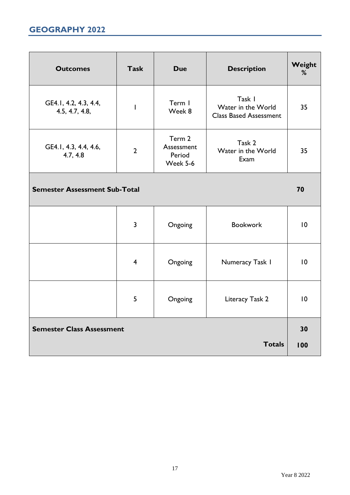# <span id="page-17-0"></span>**GEOGRAPHY 2022**

| <b>Outcomes</b>                         | <b>Task</b>    | <b>Due</b>                                 | <b>Description</b>                                            | Weight<br>% |  |
|-----------------------------------------|----------------|--------------------------------------------|---------------------------------------------------------------|-------------|--|
| GE4.1, 4.2, 4.3, 4.4,<br>4.5, 4.7, 4.8, | I              | Term I<br>Week 8                           | Task I<br>Water in the World<br><b>Class Based Assessment</b> | 35          |  |
| GE4.1, 4.3, 4.4, 4.6,<br>4.7, 4.8       | $\overline{2}$ | Term 2<br>Assessment<br>Period<br>Week 5-6 | Task 2<br>Water in the World<br>Exam                          | 35          |  |
| <b>Semester Assessment Sub-Total</b>    |                |                                            |                                                               |             |  |
|                                         | $\overline{3}$ | Ongoing                                    | <b>Bookwork</b>                                               | $ 0\rangle$ |  |
|                                         | $\overline{4}$ | Ongoing                                    | Numeracy Task I                                               | 10          |  |
|                                         | 5              | Ongoing                                    | Literacy Task 2                                               | $ 0\rangle$ |  |
| <b>Semester Class Assessment</b>        |                |                                            |                                                               |             |  |
|                                         |                |                                            | <b>Totals</b>                                                 | 100         |  |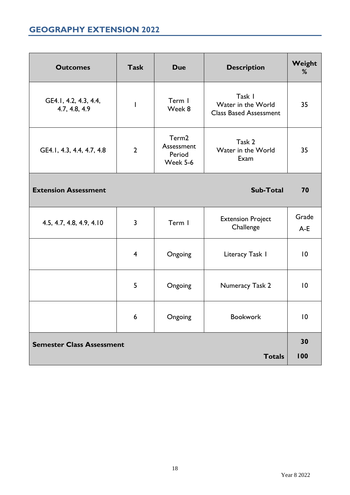# <span id="page-18-0"></span>**GEOGRAPHY EXTENSION 2022**

| <b>Outcomes</b>                          | <b>Task</b>    | <b>Due</b>                                            | <b>Description</b>                                            | Weight<br>%     |
|------------------------------------------|----------------|-------------------------------------------------------|---------------------------------------------------------------|-----------------|
| GE4.1, 4.2, 4.3, 4.4,<br>4.7, 4.8, 4.9   |                | Term I<br>Week 8                                      | Task I<br>Water in the World<br><b>Class Based Assessment</b> | 35              |
| GE4.1, 4.3, 4.4, 4.7, 4.8                | $\overline{2}$ | Term <sub>2</sub><br>Assessment<br>Period<br>Week 5-6 | Task 2<br>Water in the World<br>Exam                          | 35              |
| <b>Extension Assessment</b><br>Sub-Total |                |                                                       |                                                               |                 |
| 4.5, 4.7, 4.8, 4.9, 4.10                 | 3              | Term I                                                | <b>Extension Project</b><br>Challenge                         | Grade<br>$A-E$  |
|                                          | $\overline{4}$ | Ongoing                                               | Literacy Task I                                               | $\overline{10}$ |
|                                          | 5              | Ongoing                                               | Numeracy Task 2                                               | $\overline{10}$ |
|                                          | 6              | Ongoing                                               | Bookwork                                                      | 10              |
| <b>Semester Class Assessment</b>         |                |                                                       |                                                               |                 |
|                                          |                |                                                       | <b>Totals</b>                                                 | 100             |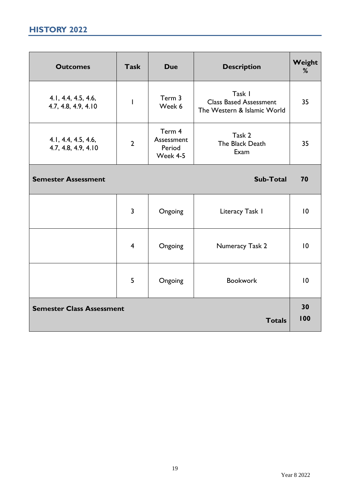# <span id="page-19-0"></span>**HISTORY 2022**

| <b>Outcomes</b>                                   | <b>Task</b>             | <b>Due</b>                                 | <b>Description</b>                                                     | Weight<br>% |  |
|---------------------------------------------------|-------------------------|--------------------------------------------|------------------------------------------------------------------------|-------------|--|
| 4.1, 4.4, 4.5, 4.6,<br>4.7, 4.8, 4.9, 4.10        | I                       | Term 3<br>Week 6                           | Task I<br><b>Class Based Assessment</b><br>The Western & Islamic World | 35          |  |
| 4.1, 4.4, 4.5, 4.6,<br>4.7, 4.8, 4.9, 4.10        | $\overline{2}$          | Term 4<br>Assessment<br>Period<br>Week 4-5 | Task 2<br>The Black Death<br>Exam                                      | 35          |  |
| <b>Semester Assessment</b><br><b>Sub-Total</b>    |                         |                                            |                                                                        |             |  |
|                                                   | $\overline{3}$          | Ongoing                                    | Literacy Task I                                                        | 10          |  |
|                                                   | $\overline{\mathbf{4}}$ | Ongoing                                    | Numeracy Task 2                                                        | 10          |  |
|                                                   | 5                       | Ongoing                                    | <b>Bookwork</b>                                                        | 10          |  |
| <b>Semester Class Assessment</b><br><b>Totals</b> |                         |                                            |                                                                        |             |  |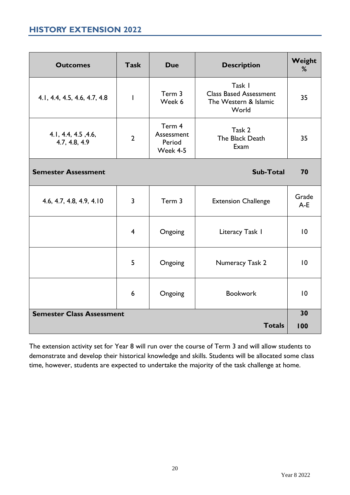# <span id="page-20-0"></span>**HISTORY EXTENSION 2022**

| <b>Outcomes</b>                      | <b>Task</b>    | <b>Due</b>                                 | <b>Description</b>                                                        | Weight<br>%     |
|--------------------------------------|----------------|--------------------------------------------|---------------------------------------------------------------------------|-----------------|
| 4.1, 4.4, 4.5, 4.6, 4.7, 4.8         | I              | Term 3<br>Week 6                           | Task I<br><b>Class Based Assessment</b><br>The Western & Islamic<br>World | 35              |
| 4.1, 4.4, 4.5, 4.6,<br>4.7, 4.8, 4.9 | $\overline{2}$ | Term 4<br>Assessment<br>Period<br>Week 4-5 | Task 2<br>The Black Death<br>Exam                                         | 35              |
| <b>Semester Assessment</b>           |                |                                            | Sub-Total                                                                 | 70              |
| 4.6, 4.7, 4.8, 4.9, 4.10             | 3              | Term 3                                     | <b>Extension Challenge</b>                                                | Grade<br>$A-E$  |
|                                      | $\overline{4}$ | Ongoing                                    | Literacy Task I                                                           | 10              |
|                                      | 5              | Ongoing                                    | Numeracy Task 2                                                           | $\overline{10}$ |
|                                      | 6              | Ongoing                                    | <b>Bookwork</b>                                                           | 10              |
| <b>Semester Class Assessment</b>     |                |                                            | <b>Totals</b>                                                             | 30<br>100       |
|                                      |                |                                            |                                                                           |                 |

The extension activity set for Year 8 will run over the course of Term 3 and will allow students to demonstrate and develop their historical knowledge and skills. Students will be allocated some class time, however, students are expected to undertake the majority of the task challenge at home.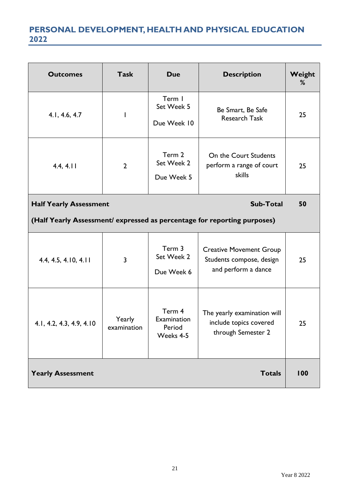# <span id="page-21-0"></span>**PERSONAL DEVELOPMENT, HEALTH AND PHYSICAL EDUCATION 2022**

| <b>Outcomes</b>               | <b>Task</b>           | <b>Due</b>                                   | <b>Description</b>                                                                | Weight<br>% |
|-------------------------------|-----------------------|----------------------------------------------|-----------------------------------------------------------------------------------|-------------|
| 4.1, 4.6, 4.7                 | I                     | Term I<br>Set Week 5<br>Due Week 10          | Be Smart, Be Safe<br><b>Research Task</b>                                         | 25          |
| 4.4, 4.11                     | $\overline{2}$        | Term 2<br>Set Week 2<br>Due Week 5           | On the Court Students<br>perform a range of court<br>skills                       | 25          |
| <b>Half Yearly Assessment</b> |                       |                                              | <b>Sub-Total</b>                                                                  | 50          |
|                               |                       |                                              | (Half Yearly Assessment/ expressed as percentage for reporting purposes)          |             |
| 4.4, 4.5, 4.10, 4.11          | 3                     | Term 3<br>Set Week 2<br>Due Week 6           | <b>Creative Movement Group</b><br>Students compose, design<br>and perform a dance | 25          |
| 4.1, 4.2, 4.3, 4.9, 4.10      | Yearly<br>examination | Term 4<br>Examination<br>Period<br>Weeks 4-5 | The yearly examination will<br>include topics covered<br>through Semester 2       | 25          |
| <b>Yearly Assessment</b>      |                       |                                              | <b>Totals</b>                                                                     | 100         |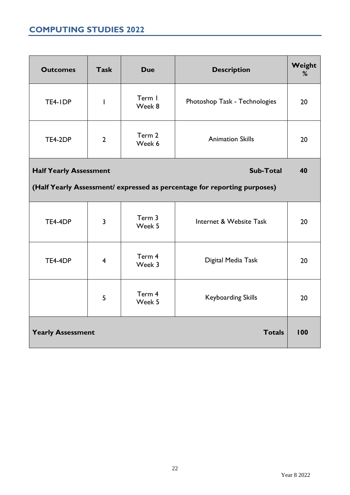# <span id="page-22-0"></span>**COMPUTING STUDIES 2022**

| <b>Outcomes</b>                                   | <b>Task</b>    | <b>Due</b>       | <b>Description</b>                                                       | Weight<br>% |  |  |
|---------------------------------------------------|----------------|------------------|--------------------------------------------------------------------------|-------------|--|--|
| TE4-IDP                                           | $\overline{1}$ | Term I<br>Week 8 | Photoshop Task - Technologies                                            | 20          |  |  |
| TE4-2DP                                           | $\overline{2}$ | Term 2<br>Week 6 | <b>Animation Skills</b>                                                  | 20          |  |  |
| <b>Sub-Total</b><br><b>Half Yearly Assessment</b> |                |                  |                                                                          |             |  |  |
|                                                   |                |                  | (Half Yearly Assessment/ expressed as percentage for reporting purposes) |             |  |  |
| <b>TE4-4DP</b>                                    | $\overline{3}$ | Term 3<br>Week 5 | Internet & Website Task                                                  | 20          |  |  |
| TE4-4DP                                           | $\overline{4}$ | Term 4<br>Week 3 | Digital Media Task                                                       | 20          |  |  |
|                                                   | 5              | Term 4<br>Week 5 | <b>Keyboarding Skills</b>                                                | 20          |  |  |
| <b>Yearly Assessment</b>                          |                |                  | <b>Totals</b>                                                            | 100         |  |  |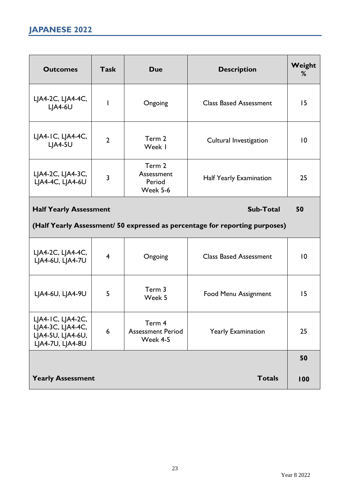<span id="page-23-0"></span>

| <b>Outcomes</b>                       | <b>Task</b>    | <b>Due</b>                                 | <b>Description</b>            | Weight<br>% |
|---------------------------------------|----------------|--------------------------------------------|-------------------------------|-------------|
| LJA4-2C, LJA4-4C,<br>$L A4-6U$        |                | Ongoing                                    | <b>Class Based Assessment</b> | 15          |
| LJA4-1C, LJA4-4C,<br>LJA4-5U          | $\overline{2}$ | Term 2<br>Week I                           | Cultural Investigation        | 0           |
| LJA4-2C, LJA4-3C,<br>LJA4-4C, LJA4-6U | 3              | Term 2<br>Assessment<br>Period<br>Week 5-6 | Half Yearly Examination       | 25          |

# **Half Yearly Assessment** Sub-Total 50

# **(Half Yearly Assessment/ 50 expressed as percentage for reporting purposes)**

| LJA4-2C, LJA4-4C,<br>LJA4-6U, LJA4-7U                                                 | $\overline{4}$ | Ongoing                                        | <b>Class Based Assessment</b> | $\overline{0}$ |
|---------------------------------------------------------------------------------------|----------------|------------------------------------------------|-------------------------------|----------------|
| LJA4-6U, LJA4-9U                                                                      | 5              | Term 3<br>Week 5                               | <b>Food Menu Assignment</b>   | 15             |
| $L$ JA4-IC, $L$ JA4-2C,<br>LJA4-3C, LJA4-4C,<br>LJA4-5U, LJA4-6U,<br>LJA4-7U, LJA4-8U | 6              | Term 4<br><b>Assessment Period</b><br>Week 4-5 | <b>Yearly Examination</b>     | 25             |
|                                                                                       |                |                                                |                               | 50             |
| <b>Yearly Assessment</b>                                                              |                |                                                | <b>Totals</b>                 | 100            |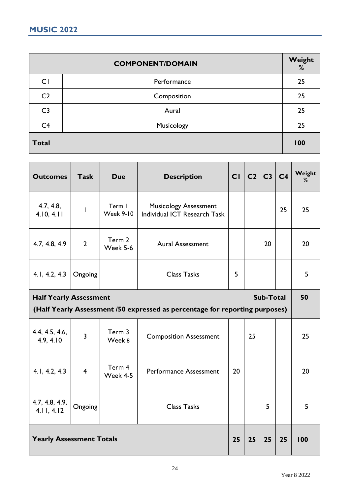<span id="page-24-0"></span>

|                | <b>COMPONENT/DOMAIN</b> | Weight<br>$\%$ |
|----------------|-------------------------|----------------|
| CI             | Performance             | 25             |
| C <sub>2</sub> | Composition             | 25             |
| C <sub>3</sub> | Aural                   | 25             |
| C <sub>4</sub> | Musicology              | 25             |
| <b>Total</b>   |                         | 100            |

| <b>Outcomes</b>                 | <b>Task</b>    | <b>Due</b>                 | <b>Description</b>                                                          |    | CI   C2   C3   C4 |                  |    | Weight<br>% |
|---------------------------------|----------------|----------------------------|-----------------------------------------------------------------------------|----|-------------------|------------------|----|-------------|
| 4.7, 4.8,<br>4.10, 4.11         | ı              | Term I<br><b>Week 9-10</b> | <b>Musicology Assessment</b><br>Individual ICT Research Task                |    |                   |                  | 25 | 25          |
| 4.7, 4.8, 4.9                   | $\overline{2}$ | Term 2<br>Week 5-6         | <b>Aural Assessment</b>                                                     |    |                   | 20               |    | 20          |
| 4.1, 4.2, 4.3                   | Ongoing        |                            | <b>Class Tasks</b>                                                          | 5  |                   |                  |    | 5           |
| <b>Half Yearly Assessment</b>   |                |                            |                                                                             |    |                   | <b>Sub-Total</b> |    | 50          |
|                                 |                |                            | (Half Yearly Assessment /50 expressed as percentage for reporting purposes) |    |                   |                  |    |             |
| 4.4, 4.5, 4.6,<br>4.9, 4.10     | $\overline{3}$ | Term 3<br>Week 8           | <b>Composition Assessment</b>                                               |    | 25                |                  |    | 25          |
| 4.1, 4.2, 4.3                   | $\overline{4}$ | Term 4<br>Week 4-5         | <b>Performance Assessment</b>                                               | 20 |                   |                  |    | 20          |
| 4.7, 4.8, 4.9,<br>4.11, 4.12    | Ongoing        |                            | <b>Class Tasks</b>                                                          |    |                   | 5                |    | 5           |
| <b>Yearly Assessment Totals</b> |                |                            |                                                                             |    | 25                | 25               | 25 | 100         |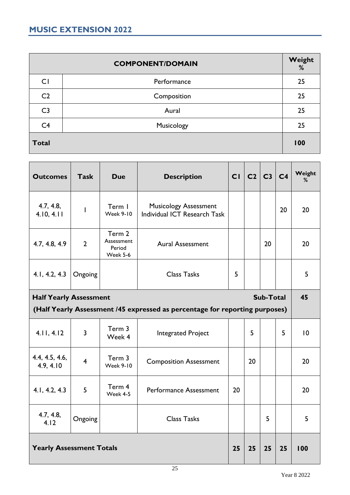<span id="page-25-0"></span>

|                | <b>COMPONENT/DOMAIN</b> | Weight<br>% |
|----------------|-------------------------|-------------|
| C1             | Performance             | 25          |
| C <sub>2</sub> | Composition             | 25          |
| C <sub>3</sub> | Aural                   | 25          |
| C <sub>4</sub> | Musicology              | 25          |
| <b>Total</b>   |                         | 100         |

| <b>Outcomes</b>                                                             | <b>Task</b>    | <b>Due</b>                                 | <b>Description</b>                                           |    | CI   C2   C3   C4 |                  |    | Weight<br>% |
|-----------------------------------------------------------------------------|----------------|--------------------------------------------|--------------------------------------------------------------|----|-------------------|------------------|----|-------------|
| 4.7, 4.8,<br>4.10, 4.11                                                     | I              | Term I<br><b>Week 9-10</b>                 | <b>Musicology Assessment</b><br>Individual ICT Research Task |    |                   |                  | 20 | 20          |
| 4.7, 4.8, 4.9                                                               | $\overline{2}$ | Term 2<br>Assessment<br>Period<br>Week 5-6 | <b>Aural Assessment</b>                                      |    |                   | 20               |    | 20          |
| 4.1, 4.2, 4.3                                                               | Ongoing        |                                            | <b>Class Tasks</b>                                           | 5  |                   |                  |    | 5           |
| <b>Half Yearly Assessment</b>                                               |                |                                            |                                                              |    |                   | <b>Sub-Total</b> |    | 45          |
| (Half Yearly Assessment /45 expressed as percentage for reporting purposes) |                |                                            |                                                              |    |                   |                  |    |             |
|                                                                             |                |                                            |                                                              |    |                   |                  |    |             |
| 4.11, 4.12                                                                  | 3              | Term 3<br>Week 4                           | <b>Integrated Project</b>                                    |    | 5                 |                  | 5  | 10          |
| 4.4, 4.5, 4.6,<br>4.9, 4.10                                                 | $\overline{4}$ | Term 3<br><b>Week 9-10</b>                 | <b>Composition Assessment</b>                                |    | 20                |                  |    | 20          |
| 4.1, 4.2, 4.3                                                               | 5              | Term 4<br>Week 4-5                         | Performance Assessment                                       | 20 |                   |                  |    | 20          |
| 4.7, 4.8,<br>4.12                                                           | Ongoing        |                                            | <b>Class Tasks</b>                                           |    |                   | 5                |    | 5           |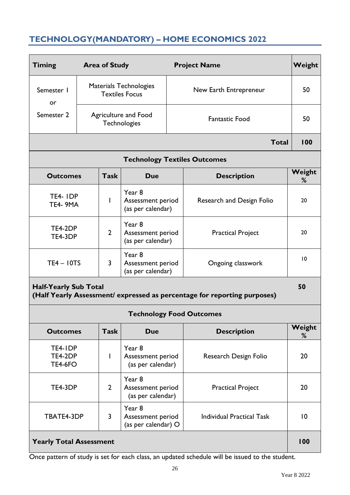# <span id="page-26-0"></span>**TECHNOLOGY(MANDATORY) – HOME ECONOMICS 2022**

| <b>Timing</b>                        | <b>Area of Study</b>                                                               |                |                                                  |                                  | <b>Project Name</b>                                                      |             |                          |    |
|--------------------------------------|------------------------------------------------------------------------------------|----------------|--------------------------------------------------|----------------------------------|--------------------------------------------------------------------------|-------------|--------------------------|----|
| Semester I<br>or                     |                                                                                    |                | Materials Technologies<br><b>Textiles Focus</b>  |                                  | New Earth Entrepreneur                                                   |             |                          |    |
| Semester 2                           | Agriculture and Food<br>Technologies                                               |                | <b>Fantastic Food</b>                            |                                  | 50                                                                       |             |                          |    |
|                                      | <b>Total</b>                                                                       |                |                                                  |                                  |                                                                          |             |                          |    |
|                                      |                                                                                    |                |                                                  |                                  | <b>Technology Textiles Outcomes</b>                                      |             |                          |    |
| <b>Outcomes</b>                      |                                                                                    | <b>Task</b>    | Due                                              |                                  | <b>Description</b>                                                       | Weight<br>% |                          |    |
| TE4-IDP<br><b>TE4-9MA</b>            |                                                                                    | L              | Year 8<br>Assessment period<br>(as per calendar) |                                  | Research and Design Folio                                                | 20          |                          |    |
| TE4-2DP<br>TE4-3DP                   |                                                                                    | $\overline{2}$ | Year 8<br>Assessment period<br>(as per calendar) |                                  | <b>Practical Project</b>                                                 | 20          |                          |    |
| $TE4 - 10TS$                         |                                                                                    | $\overline{3}$ | Year 8<br>Assessment period<br>(as per calendar) |                                  | Ongoing classwork                                                        | 10          |                          |    |
| <b>Half-Yearly Sub Total</b>         |                                                                                    |                |                                                  |                                  | (Half Yearly Assessment/ expressed as percentage for reporting purposes) | 50          |                          |    |
|                                      |                                                                                    |                | <b>Technology Food Outcomes</b>                  |                                  |                                                                          |             |                          |    |
| <b>Outcomes</b>                      |                                                                                    | <b>Task</b>    | <b>Due</b>                                       |                                  | <b>Description</b>                                                       | Weight<br>% |                          |    |
| TE4-IDP<br>TE4-2DP<br><b>TE4-6FO</b> |                                                                                    |                | Year 8<br>Assessment period<br>(as per calendar) |                                  | Research Design Folio                                                    | 20          |                          |    |
| TE4-3DP                              |                                                                                    | $\overline{2}$ | Year 8<br>Assessment period<br>(as per calendar) |                                  |                                                                          |             | <b>Practical Project</b> | 20 |
|                                      | Year 8<br>$\overline{3}$<br>TBATE4-3DP<br>Assessment period<br>(as per calendar) O |                |                                                  | <b>Individual Practical Task</b> | $\overline{10}$                                                          |             |                          |    |
| <b>Yearly Total Assessment</b>       |                                                                                    |                |                                                  |                                  |                                                                          | 100         |                          |    |

Once pattern of study is set for each class, an updated schedule will be issued to the student.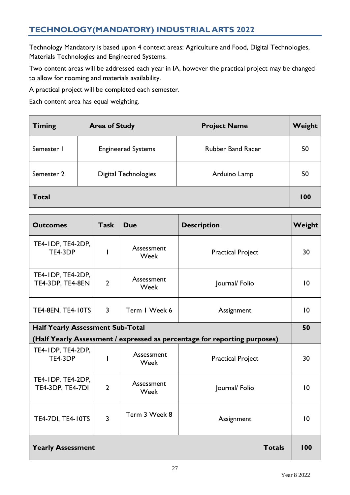# <span id="page-27-0"></span>**TECHNOLOGY(MANDATORY) INDUSTRIAL ARTS 2022**

Technology Mandatory is based upon 4 context areas: Agriculture and Food, Digital Technologies, Materials Technologies and Engineered Systems.

Two content areas will be addressed each year in IA, however the practical project may be changed to allow for rooming and materials availability.

A practical project will be completed each semester.

Each content area has equal weighting.

| <b>Timing</b> | <b>Area of Study</b>        | <b>Project Name</b>      | Weight |
|---------------|-----------------------------|--------------------------|--------|
| Semester I    | <b>Engineered Systems</b>   | <b>Rubber Band Racer</b> | 50     |
| Semester 2    | <b>Digital Technologies</b> | Arduino Lamp             | 50     |
| <b>Total</b>  |                             |                          | 100    |

| <b>Outcomes</b>                                                           | <b>Task</b>    | Due                | <b>Description</b>       | Weight          |  |
|---------------------------------------------------------------------------|----------------|--------------------|--------------------------|-----------------|--|
| TE4-IDP, TE4-2DP,<br>TE4-3DP                                              |                | Assessment<br>Week | <b>Practical Project</b> | 30              |  |
| TE4-IDP, TE4-2DP,<br>TE4-3DP, TE4-8EN                                     | $\overline{2}$ | Assessment<br>Week | Journal/Folio            | 10              |  |
| <b>TE4-8EN, TE4-10TS</b>                                                  | $\overline{3}$ | Term I Week 6      | Assignment               | 10              |  |
| <b>Half Yearly Assessment Sub-Total</b>                                   |                |                    |                          |                 |  |
| (Half Yearly Assessment / expressed as percentage for reporting purposes) |                |                    |                          |                 |  |
| TE4-IDP, TE4-2DP,<br>TE4-3DP                                              |                | Assessment<br>Week | <b>Practical Project</b> | 30              |  |
| TE4-IDP, TE4-2DP,<br>TE4-3DP, TE4-7DI                                     | $\overline{2}$ | Assessment<br>Week | Journal/Folio            | $\overline{10}$ |  |
| <b>TE4-7DI, TE4-10TS</b>                                                  | $\overline{3}$ | Term 3 Week 8      | Assignment               | $\overline{10}$ |  |
| <b>Yearly Assessment</b><br><b>Totals</b>                                 |                |                    |                          |                 |  |